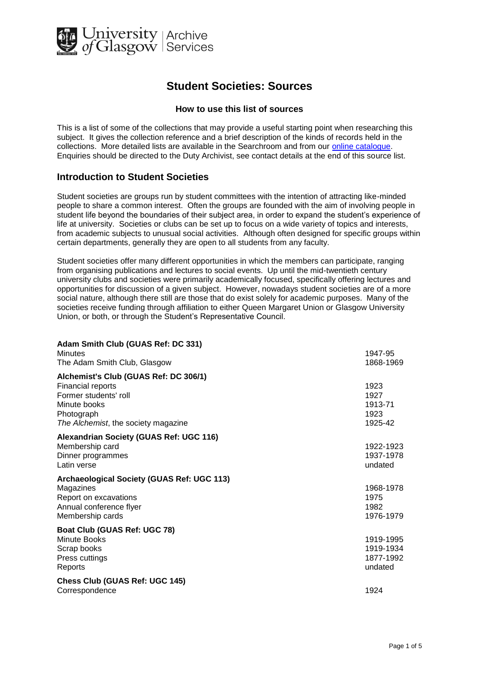

## **Student Societies: Sources**

## **How to use this list of sources**

This is a list of some of the collections that may provide a useful starting point when researching this subject. It gives the collection reference and a brief description of the kinds of records held in the collections. More detailed lists are available in the Searchroom and from our [online catalogue.](http://cheshire.cent.gla.ac.uk/ead/) Enquiries should be directed to the Duty Archivist, see contact details at the end of this source list.

## **Introduction to Student Societies**

Student societies are groups run by student committees with the intention of attracting like-minded people to share a common interest. Often the groups are founded with the aim of involving people in student life beyond the boundaries of their subject area, in order to expand the student's experience of life at university. Societies or clubs can be set up to focus on a wide variety of topics and interests, from academic subjects to unusual social activities. Although often designed for specific groups within certain departments, generally they are open to all students from any faculty.

Student societies offer many different opportunities in which the members can participate, ranging from organising publications and lectures to social events. Up until the mid-twentieth century university clubs and societies were primarily academically focused, specifically offering lectures and opportunities for discussion of a given subject. However, nowadays student societies are of a more social nature, although there still are those that do exist solely for academic purposes. Many of the societies receive funding through affiliation to either Queen Margaret Union or Glasgow University Union, or both, or through the Student's Representative Council.

| Adam Smith Club (GUAS Ref: DC 331)         |           |
|--------------------------------------------|-----------|
| Minutes                                    | 1947-95   |
| The Adam Smith Club, Glasgow               | 1868-1969 |
| Alchemist's Club (GUAS Ref: DC 306/1)      |           |
| <b>Financial reports</b>                   | 1923      |
| Former students' roll                      | 1927      |
| Minute books                               | 1913-71   |
| Photograph                                 | 1923      |
| The Alchemist, the society magazine        | 1925-42   |
| Alexandrian Society (GUAS Ref: UGC 116)    |           |
| Membership card                            | 1922-1923 |
| Dinner programmes                          | 1937-1978 |
| Latin verse                                | undated   |
| Archaeological Society (GUAS Ref: UGC 113) |           |
| Magazines                                  | 1968-1978 |
| Report on excavations                      | 1975      |
| Annual conference flyer                    | 1982      |
| Membership cards                           | 1976-1979 |
| Boat Club (GUAS Ref: UGC 78)               |           |
| <b>Minute Books</b>                        | 1919-1995 |
| Scrap books                                | 1919-1934 |
| Press cuttings                             | 1877-1992 |
| Reports                                    | undated   |
| Chess Club (GUAS Ref: UGC 145)             |           |
| Correspondence                             | 1924      |
|                                            |           |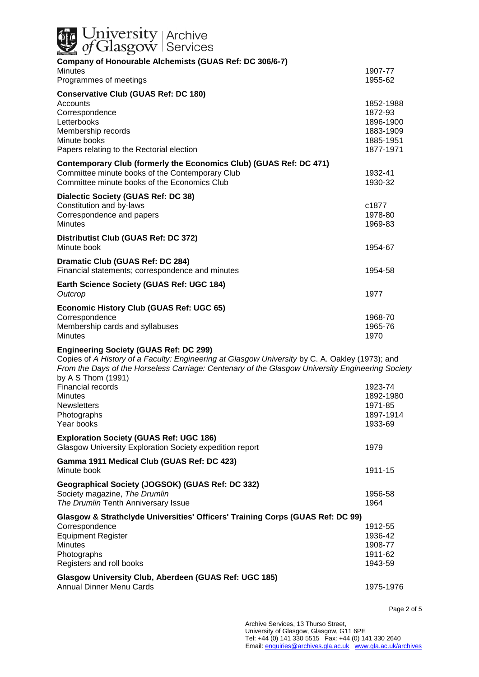| <b>Julian Strut</b><br>Gof Glasgow Services                                                                                                                                                                                                                                |                                                                          |
|----------------------------------------------------------------------------------------------------------------------------------------------------------------------------------------------------------------------------------------------------------------------------|--------------------------------------------------------------------------|
| Company of Honourable Alchemists (GUAS Ref: DC 306/6-7)                                                                                                                                                                                                                    |                                                                          |
| <b>Minutes</b><br>Programmes of meetings                                                                                                                                                                                                                                   | 1907-77<br>1955-62                                                       |
| <b>Conservative Club (GUAS Ref: DC 180)</b>                                                                                                                                                                                                                                |                                                                          |
| Accounts<br>Correspondence<br>Letterbooks<br>Membership records<br>Minute books<br>Papers relating to the Rectorial election                                                                                                                                               | 1852-1988<br>1872-93<br>1896-1900<br>1883-1909<br>1885-1951<br>1877-1971 |
| Contemporary Club (formerly the Economics Club) (GUAS Ref: DC 471)<br>Committee minute books of the Contemporary Club<br>Committee minute books of the Economics Club                                                                                                      | 1932-41<br>1930-32                                                       |
| Dialectic Society (GUAS Ref: DC 38)                                                                                                                                                                                                                                        |                                                                          |
| Constitution and by-laws<br>Correspondence and papers<br><b>Minutes</b>                                                                                                                                                                                                    | c1877<br>1978-80<br>1969-83                                              |
| Distributist Club (GUAS Ref: DC 372)<br>Minute book                                                                                                                                                                                                                        | 1954-67                                                                  |
| Dramatic Club (GUAS Ref: DC 284)<br>Financial statements; correspondence and minutes                                                                                                                                                                                       | 1954-58                                                                  |
| Earth Science Society (GUAS Ref: UGC 184)<br>Outcrop                                                                                                                                                                                                                       | 1977                                                                     |
| <b>Economic History Club (GUAS Ref: UGC 65)</b>                                                                                                                                                                                                                            |                                                                          |
| Correspondence                                                                                                                                                                                                                                                             |                                                                          |
| Membership cards and syllabuses<br><b>Minutes</b>                                                                                                                                                                                                                          | 1968-70<br>1965-76<br>1970                                               |
| <b>Engineering Society (GUAS Ref: DC 299)</b><br>Copies of A History of a Faculty: Engineering at Glasgow University by C. A. Oakley (1973); and<br>From the Days of the Horseless Carriage: Centenary of the Glasgow University Engineering Society<br>by A S Thom (1991) |                                                                          |
| Financial records                                                                                                                                                                                                                                                          | 1923-74                                                                  |
| <b>Minutes</b>                                                                                                                                                                                                                                                             | 1892-1980                                                                |
| <b>Newsletters</b><br>Photographs                                                                                                                                                                                                                                          | 1971-85<br>1897-1914                                                     |
| Year books                                                                                                                                                                                                                                                                 | 1933-69                                                                  |
| <b>Exploration Society (GUAS Ref: UGC 186)</b><br>Glasgow University Exploration Society expedition report                                                                                                                                                                 | 1979                                                                     |
| Gamma 1911 Medical Club (GUAS Ref: DC 423)<br>Minute book                                                                                                                                                                                                                  | 1911-15                                                                  |
|                                                                                                                                                                                                                                                                            |                                                                          |
| Geographical Society (JOGSOK) (GUAS Ref: DC 332)<br>Society magazine, The Drumlin<br>The Drumlin Tenth Anniversary Issue                                                                                                                                                   | 1956-58<br>1964                                                          |
| Glasgow & Strathclyde Universities' Officers' Training Corps (GUAS Ref: DC 99)                                                                                                                                                                                             |                                                                          |
| Correspondence                                                                                                                                                                                                                                                             | 1912-55                                                                  |
| <b>Equipment Register</b><br><b>Minutes</b>                                                                                                                                                                                                                                | 1936-42                                                                  |
| Photographs<br>Registers and roll books                                                                                                                                                                                                                                    | 1908-77<br>1911-62<br>1943-59                                            |

Annual Dinner Menu Cards 1975-1976

Page 2 of 5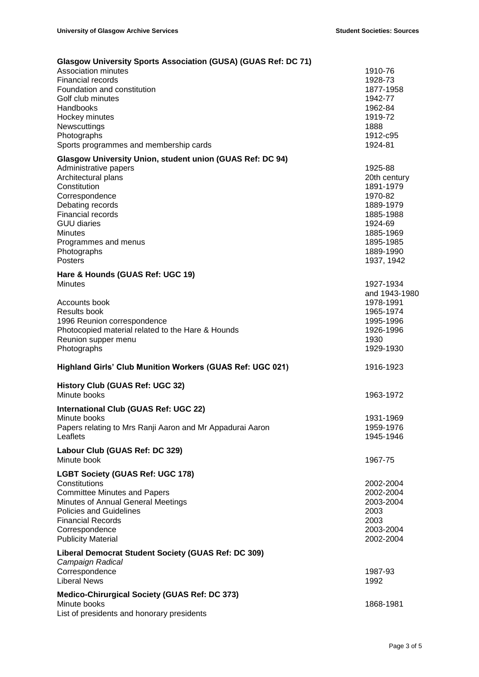| Glasgow University Sports Association (GUSA) (GUAS Ref: DC 71)                                                                                                                                                                                                                        |                                                                                                                                           |
|---------------------------------------------------------------------------------------------------------------------------------------------------------------------------------------------------------------------------------------------------------------------------------------|-------------------------------------------------------------------------------------------------------------------------------------------|
| Association minutes<br><b>Financial records</b><br>Foundation and constitution<br>Golf club minutes<br>Handbooks<br>Hockey minutes<br>Newscuttings                                                                                                                                    | 1910-76<br>1928-73<br>1877-1958<br>1942-77<br>1962-84<br>1919-72<br>1888                                                                  |
| Photographs<br>Sports programmes and membership cards                                                                                                                                                                                                                                 | 1912-c95<br>1924-81                                                                                                                       |
| Glasgow University Union, student union (GUAS Ref: DC 94)<br>Administrative papers<br>Architectural plans<br>Constitution<br>Correspondence<br>Debating records<br><b>Financial records</b><br><b>GUU diaries</b><br><b>Minutes</b><br>Programmes and menus<br>Photographs<br>Posters | 1925-88<br>20th century<br>1891-1979<br>1970-82<br>1889-1979<br>1885-1988<br>1924-69<br>1885-1969<br>1895-1985<br>1889-1990<br>1937, 1942 |
| Hare & Hounds (GUAS Ref: UGC 19)<br><b>Minutes</b>                                                                                                                                                                                                                                    | 1927-1934<br>and 1943-1980                                                                                                                |
| Accounts book<br><b>Results book</b><br>1996 Reunion correspondence<br>Photocopied material related to the Hare & Hounds<br>Reunion supper menu<br>Photographs                                                                                                                        | 1978-1991<br>1965-1974<br>1995-1996<br>1926-1996<br>1930<br>1929-1930                                                                     |
| Highland Girls' Club Munition Workers (GUAS Ref: UGC 021)                                                                                                                                                                                                                             | 1916-1923                                                                                                                                 |
| <b>History Club (GUAS Ref: UGC 32)</b><br>Minute books                                                                                                                                                                                                                                | 1963-1972                                                                                                                                 |
| International Club (GUAS Ref: UGC 22)<br>Minute books<br>Papers relating to Mrs Ranji Aaron and Mr Appadurai Aaron<br>Leaflets                                                                                                                                                        | 1931-1969<br>1959-1976<br>1945-1946                                                                                                       |
| Labour Club (GUAS Ref: DC 329)<br>Minute book                                                                                                                                                                                                                                         | 1967-75                                                                                                                                   |
| <b>LGBT Society (GUAS Ref: UGC 178)</b><br>Constitutions<br><b>Committee Minutes and Papers</b><br>Minutes of Annual General Meetings<br><b>Policies and Guidelines</b><br><b>Financial Records</b><br>Correspondence<br><b>Publicity Material</b>                                    | 2002-2004<br>2002-2004<br>2003-2004<br>2003<br>2003<br>2003-2004<br>2002-2004                                                             |
| Liberal Democrat Student Society (GUAS Ref: DC 309)<br>Campaign Radical<br>Correspondence<br><b>Liberal News</b>                                                                                                                                                                      | 1987-93<br>1992                                                                                                                           |
| Medico-Chirurgical Society (GUAS Ref: DC 373)<br>Minute books<br>List of presidents and honorary presidents                                                                                                                                                                           | 1868-1981                                                                                                                                 |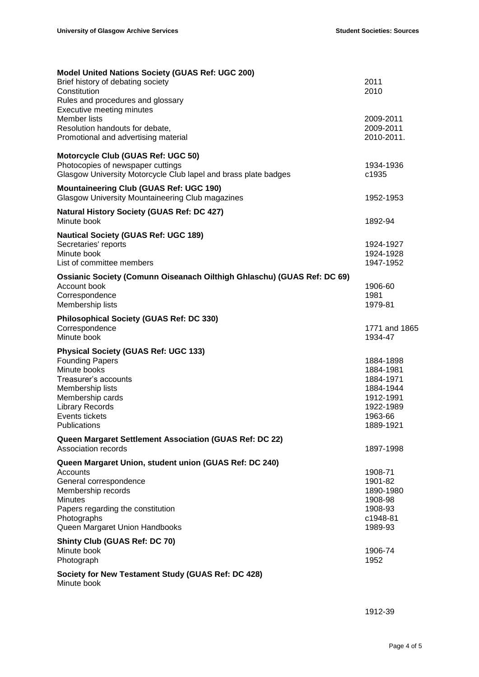| <b>Model United Nations Society (GUAS Ref: UGC 200)</b>                 |                        |
|-------------------------------------------------------------------------|------------------------|
| Brief history of debating society                                       | 2011                   |
| Constitution                                                            | 2010                   |
| Rules and procedures and glossary<br><b>Executive meeting minutes</b>   |                        |
| Member lists                                                            | 2009-2011              |
| Resolution handouts for debate,                                         | 2009-2011              |
| Promotional and advertising material                                    | 2010-2011.             |
|                                                                         |                        |
| Motorcycle Club (GUAS Ref: UGC 50)                                      |                        |
| Photocopies of newspaper cuttings                                       | 1934-1936              |
| Glasgow University Motorcycle Club lapel and brass plate badges         | c1935                  |
| <b>Mountaineering Club (GUAS Ref: UGC 190)</b>                          |                        |
| <b>Glasgow University Mountaineering Club magazines</b>                 | 1952-1953              |
|                                                                         |                        |
| <b>Natural History Society (GUAS Ref: DC 427)</b>                       |                        |
| Minute book                                                             | 1892-94                |
| <b>Nautical Society (GUAS Ref: UGC 189)</b>                             |                        |
| Secretaries' reports                                                    | 1924-1927              |
| Minute book                                                             | 1924-1928              |
| List of committee members                                               | 1947-1952              |
| Ossianic Society (Comunn Oiseanach Oilthigh Ghlaschu) (GUAS Ref: DC 69) |                        |
| Account book                                                            | 1906-60                |
| Correspondence                                                          | 1981                   |
| Membership lists                                                        | 1979-81                |
| <b>Philosophical Society (GUAS Ref: DC 330)</b>                         |                        |
| Correspondence                                                          | 1771 and 1865          |
| Minute book                                                             | 1934-47                |
|                                                                         |                        |
| <b>Physical Society (GUAS Ref: UGC 133)</b>                             |                        |
| <b>Founding Papers</b><br>Minute books                                  | 1884-1898<br>1884-1981 |
| Treasurer's accounts                                                    | 1884-1971              |
| Membership lists                                                        | 1884-1944              |
| Membership cards                                                        | 1912-1991              |
| <b>Library Records</b>                                                  | 1922-1989              |
| Events tickets                                                          | 1963-66                |
| Publications                                                            | 1889-1921              |
| Queen Margaret Settlement Association (GUAS Ref: DC 22)                 |                        |
| Association records                                                     | 1897-1998              |
|                                                                         |                        |
| Queen Margaret Union, student union (GUAS Ref: DC 240)<br>Accounts      |                        |
| General correspondence                                                  | 1908-71<br>1901-82     |
| Membership records                                                      | 1890-1980              |
| <b>Minutes</b>                                                          | 1908-98                |
| Papers regarding the constitution                                       | 1908-93                |
| Photographs                                                             | c1948-81               |
| Queen Margaret Union Handbooks                                          | 1989-93                |
|                                                                         |                        |
| <b>Shinty Club (GUAS Ref: DC 70)</b><br>Minute book                     | 1906-74                |
| Photograph                                                              | 1952                   |
|                                                                         |                        |
| Society for New Testament Study (GUAS Ref: DC 428)<br>Minute book       |                        |

1912-39